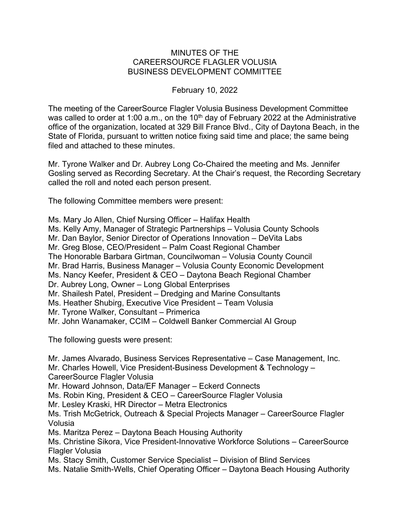## MINUTES OF THE CAREERSOURCE FLAGLER VOLUSIA BUSINESS DEVELOPMENT COMMITTEE

## February 10, 2022

The meeting of the CareerSource Flagler Volusia Business Development Committee was called to order at 1:00 a.m., on the  $10<sup>th</sup>$  day of February 2022 at the Administrative office of the organization, located at 329 Bill France Blvd., City of Daytona Beach, in the State of Florida, pursuant to written notice fixing said time and place; the same being filed and attached to these minutes.

Mr. Tyrone Walker and Dr. Aubrey Long Co-Chaired the meeting and Ms. Jennifer Gosling served as Recording Secretary. At the Chair's request, the Recording Secretary called the roll and noted each person present.

The following Committee members were present:

Ms. Mary Jo Allen, Chief Nursing Officer – Halifax Health Ms. Kelly Amy, Manager of Strategic Partnerships – Volusia County Schools Mr. Dan Baylor, Senior Director of Operations Innovation – DeVita Labs Mr. Greg Blose, CEO/President – Palm Coast Regional Chamber The Honorable Barbara Girtman, Councilwoman – Volusia County Council Mr. Brad Harris, Business Manager – Volusia County Economic Development Ms. Nancy Keefer, President & CEO – Daytona Beach Regional Chamber Dr. Aubrey Long, Owner – Long Global Enterprises Mr. Shailesh Patel, President – Dredging and Marine Consultants Ms. Heather Shubirg, Executive Vice President – Team Volusia Mr. Tyrone Walker, Consultant – Primerica Mr. John Wanamaker, CCIM – Coldwell Banker Commercial AI Group

The following guests were present:

Mr. James Alvarado, Business Services Representative – Case Management, Inc. Mr. Charles Howell, Vice President-Business Development & Technology – CareerSource Flagler Volusia Mr. Howard Johnson, Data/EF Manager – Eckerd Connects Ms. Robin King, President & CEO – CareerSource Flagler Volusia Mr. Lesley Kraski, HR Director – Metra Electronics Ms. Trish McGetrick, Outreach & Special Projects Manager – CareerSource Flagler Volusia Ms. Maritza Perez – Daytona Beach Housing Authority Ms. Christine Sikora, Vice President-Innovative Workforce Solutions – CareerSource Flagler Volusia Ms. Stacy Smith, Customer Service Specialist – Division of Blind Services Ms. Natalie Smith-Wells, Chief Operating Officer – Daytona Beach Housing Authority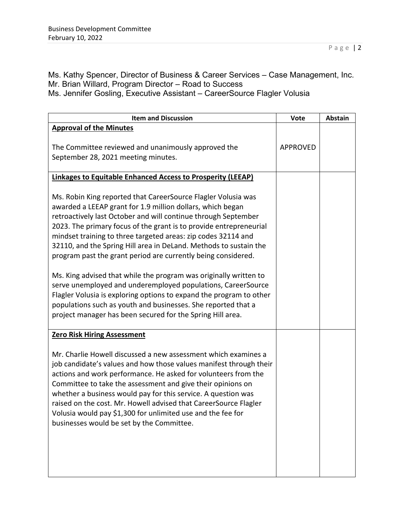Ms. Kathy Spencer, Director of Business & Career Services – Case Management, Inc. Mr. Brian Willard, Program Director – Road to Success Ms. Jennifer Gosling, Executive Assistant – CareerSource Flagler Volusia

| <b>Item and Discussion</b>                                                                                                                                                                                                                                                                                                                                                                                                                                                                                                                                                                                                                                                                                                                                                                                            | Vote            | Abstain |
|-----------------------------------------------------------------------------------------------------------------------------------------------------------------------------------------------------------------------------------------------------------------------------------------------------------------------------------------------------------------------------------------------------------------------------------------------------------------------------------------------------------------------------------------------------------------------------------------------------------------------------------------------------------------------------------------------------------------------------------------------------------------------------------------------------------------------|-----------------|---------|
| <b>Approval of the Minutes</b><br>The Committee reviewed and unanimously approved the<br>September 28, 2021 meeting minutes.                                                                                                                                                                                                                                                                                                                                                                                                                                                                                                                                                                                                                                                                                          | <b>APPROVED</b> |         |
| <b>Linkages to Equitable Enhanced Access to Prosperity (LEEAP)</b>                                                                                                                                                                                                                                                                                                                                                                                                                                                                                                                                                                                                                                                                                                                                                    |                 |         |
| Ms. Robin King reported that CareerSource Flagler Volusia was<br>awarded a LEEAP grant for 1.9 million dollars, which began<br>retroactively last October and will continue through September<br>2023. The primary focus of the grant is to provide entrepreneurial<br>mindset training to three targeted areas: zip codes 32114 and<br>32110, and the Spring Hill area in DeLand. Methods to sustain the<br>program past the grant period are currently being considered.<br>Ms. King advised that while the program was originally written to<br>serve unemployed and underemployed populations, CareerSource<br>Flagler Volusia is exploring options to expand the program to other<br>populations such as youth and businesses. She reported that a<br>project manager has been secured for the Spring Hill area. |                 |         |
| <b>Zero Risk Hiring Assessment</b>                                                                                                                                                                                                                                                                                                                                                                                                                                                                                                                                                                                                                                                                                                                                                                                    |                 |         |
| Mr. Charlie Howell discussed a new assessment which examines a<br>job candidate's values and how those values manifest through their<br>actions and work performance. He asked for volunteers from the<br>Committee to take the assessment and give their opinions on<br>whether a business would pay for this service. A question was<br>raised on the cost. Mr. Howell advised that CareerSource Flagler<br>Volusia would pay \$1,300 for unlimited use and the fee for<br>businesses would be set by the Committee.                                                                                                                                                                                                                                                                                                |                 |         |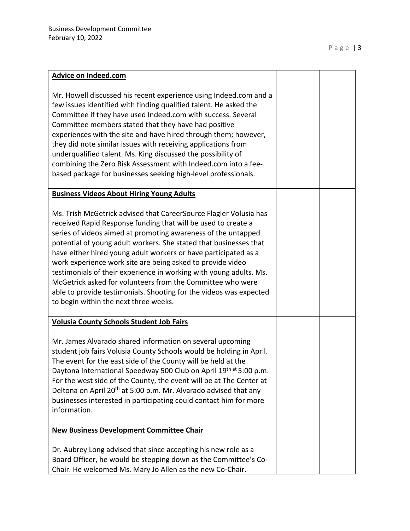| Advice on Indeed.com                                                                                                                                                                                                                                                                                                                                                                                                                                                                                                                                                                                                                                         |  |
|--------------------------------------------------------------------------------------------------------------------------------------------------------------------------------------------------------------------------------------------------------------------------------------------------------------------------------------------------------------------------------------------------------------------------------------------------------------------------------------------------------------------------------------------------------------------------------------------------------------------------------------------------------------|--|
| Mr. Howell discussed his recent experience using Indeed.com and a<br>few issues identified with finding qualified talent. He asked the<br>Committee if they have used Indeed.com with success. Several<br>Committee members stated that they have had positive<br>experiences with the site and have hired through them; however,<br>they did note similar issues with receiving applications from<br>underqualified talent. Ms. King discussed the possibility of<br>combining the Zero Risk Assessment with Indeed.com into a fee-<br>based package for businesses seeking high-level professionals.                                                       |  |
| <b>Business Videos About Hiring Young Adults</b>                                                                                                                                                                                                                                                                                                                                                                                                                                                                                                                                                                                                             |  |
| Ms. Trish McGetrick advised that CareerSource Flagler Volusia has<br>received Rapid Response funding that will be used to create a<br>series of videos aimed at promoting awareness of the untapped<br>potential of young adult workers. She stated that businesses that<br>have either hired young adult workers or have participated as a<br>work experience work site are being asked to provide video<br>testimonials of their experience in working with young adults. Ms.<br>McGetrick asked for volunteers from the Committee who were<br>able to provide testimonials. Shooting for the videos was expected<br>to begin within the next three weeks. |  |
| <b>Volusia County Schools Student Job Fairs</b>                                                                                                                                                                                                                                                                                                                                                                                                                                                                                                                                                                                                              |  |
| Mr. James Alvarado shared information on several upcoming<br>student job fairs Volusia County Schools would be holding in April.<br>The event for the east side of the County will be held at the<br>Daytona International Speedway 500 Club on April 19 <sup>th at</sup> 5:00 p.m.<br>For the west side of the County, the event will be at The Center at<br>Deltona on April 20 <sup>th</sup> at 5:00 p.m. Mr. Alvarado advised that any<br>businesses interested in participating could contact him for more<br>information.                                                                                                                              |  |
| <b>New Business Development Committee Chair</b>                                                                                                                                                                                                                                                                                                                                                                                                                                                                                                                                                                                                              |  |
| Dr. Aubrey Long advised that since accepting his new role as a<br>Board Officer, he would be stepping down as the Committee's Co-<br>Chair. He welcomed Ms. Mary Jo Allen as the new Co-Chair.                                                                                                                                                                                                                                                                                                                                                                                                                                                               |  |